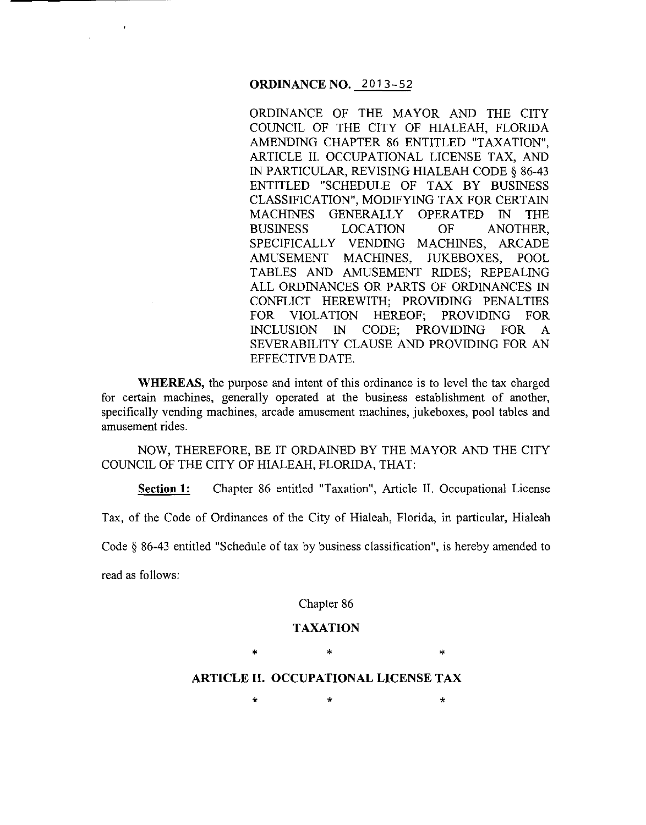#### **ORDINANCE NO.** 2013-52

ORDINANCE OF THE MAYOR AND THE CITY COUNCIL OF THE CITY OF HIALEAH, FLORIDA AMENDING CHAPTER 86 ENTITLED "TAXATION", ARTICLE II. OCCUPATIONAL LICENSE TAX, AND IN PARTICULAR, REVISING HIALEAH CODE§ 86-43 ENTITLED "SCHEDULE OF TAX BY BUSINESS CLASSIFICATION", MODIFYING TAX FOR CERTAIN MACHINES GENERALLY OPERATED IN THE BUSINESS LOCATION OF ANOTHER, SPECIFICALLY VENDING MACHINES, ARCADE AMUSEMENT MACHINES, JUKEBOXES, POOL TABLES AND AMUSEMENT RIDES; REPEALING ALL ORDINANCES OR PARTS OF ORDINANCES IN CONFLICT HEREWITH; PROVIDING PENALTIES FOR VIOLATION HEREOF; PROVIDING FOR INCLUSION IN CODE; PROVIDING FOR A SEVERABILITY CLAUSE AND PROVIDING FOR AN EFFECTIVE DATE.

**WHEREAS,** the purpose and intent of this ordinance is to level the tax charged for certain machines, generally operated at the business establishment of another, specifically vending machines, arcade amusement machines, jukeboxes, pool tables and amusement rides.

NOW, THEREFORE, BE IT ORDAINED BY THE MAYOR AND THE CITY COUNCIL OF THE CITY OF HIALEAH, FLORIDA, THAT:

**Section 1:** Chapter 86 entitled "Taxation", Article II. Occupational License

Tax, of the Code of Ordinances of the City of Hialeah, Florida, in particular, Hialeah

Code § 86-43 entitled "Schedule of tax by business classification", is hereby amended to

read as follows:

Chapter 86

#### **TAXATION**

\* \* \*

#### **ARTICLE II. OCCUPATIONAL LICENSE TAX**

 $\star$  \*  $\star$  \*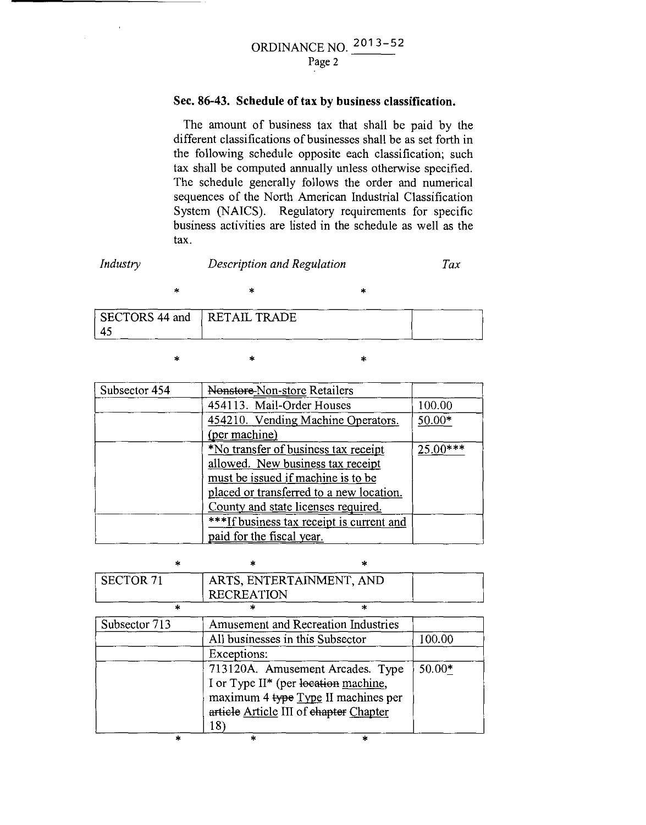# ORDINANCE NO. 2013 - <sup>52</sup> Page 2

# **Sec. 86-43. Schedule of tax by business classification.**

The amount of business tax that shall be paid by the different classifications of businesses shall be as set forth in the following schedule opposite each classification; such tax shall be computed annually unless otherwise specified. The schedule generally follows the order and numerical sequences of the North American Industrial Classification System (NAICS). Regulatory requirements for specific business activities are listed in the schedule as well as the tax.

# *Industry*

# *Description and Regulation Tax*

\* \* \*

|   | SECTORS 44 and RETAIL TRADE |  |
|---|-----------------------------|--|
| 4 |                             |  |

\* \* \*

| Subsector 454 | Nonstore-Non-store Retailers              |          |
|---------------|-------------------------------------------|----------|
|               | 454113. Mail-Order Houses                 | 100.00   |
|               | 454210. Vending Machine Operators.        | $50.00*$ |
|               | (per machine)                             |          |
|               | *No transfer of business tax receipt      | 25.00*** |
|               | allowed. New business tax receipt         |          |
|               | must be issued if machine is to be        |          |
|               | placed or transferred to a new location.  |          |
|               | County and state licenses required.       |          |
|               | ***If business tax receipt is current and |          |
|               | paid for the fiscal year.                 |          |

| Á.               | sk.               | ×                                                                                                                                                         |          |
|------------------|-------------------|-----------------------------------------------------------------------------------------------------------------------------------------------------------|----------|
| <b>SECTOR 71</b> | <b>RECREATION</b> | ARTS, ENTERTAINMENT, AND                                                                                                                                  |          |
|                  |                   | $\star$                                                                                                                                                   |          |
| Subsector 713    |                   | Amusement and Recreation Industries                                                                                                                       |          |
|                  |                   | All businesses in this Subsector                                                                                                                          | 100.00   |
|                  | Exceptions:       |                                                                                                                                                           |          |
|                  | 18)               | 713120A. Amusement Arcades. Type<br>I or Type II* (per location machine,<br>maximum 4 type Type II machines per<br>article Article III of chapter Chapter | $50.00*$ |
| ×                | ×                 | $\star$                                                                                                                                                   |          |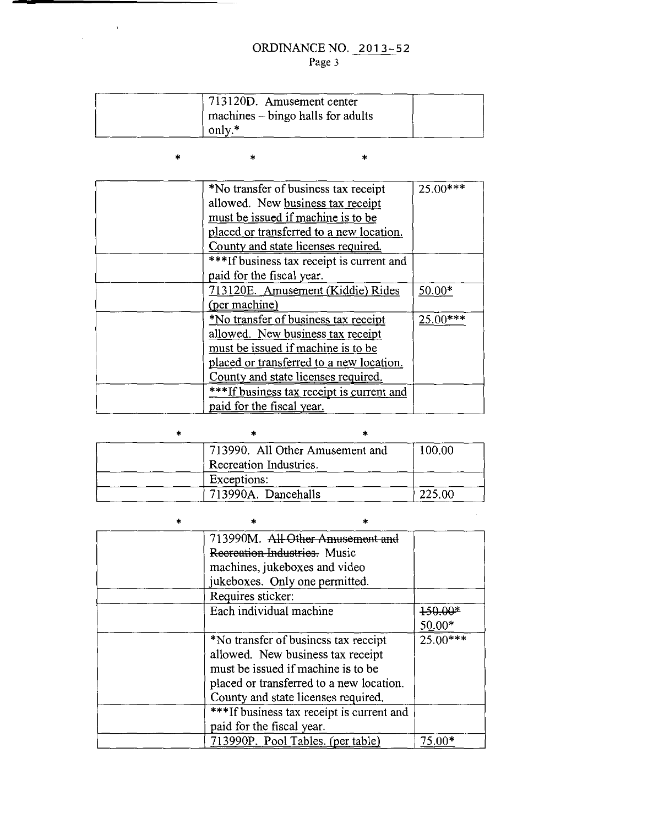# ORDINANCE NO. 2013-52 Page 3

| 713120D. Amusement center         |  |
|-----------------------------------|--|
| machines – bingo halls for adults |  |
| only.*                            |  |

| $\ast$ $\ast$ | $\star$ $\star$ |
|---------------|-----------------|
|               |                 |

 $\label{eq:2.1} \frac{1}{\sqrt{2\pi}}\int_{0}^{\infty}\frac{dx}{\sqrt{2\pi}}\,dx$ 

| *No transfer of business tax receipt      | 25.00*** |
|-------------------------------------------|----------|
| allowed. New business tax receipt         |          |
| must be issued if machine is to be        |          |
| placed or transferred to a new location.  |          |
| County and state licenses required.       |          |
| ***If business tax receipt is current and |          |
| paid for the fiscal year.                 |          |
| 713120E. Amusement (Kiddie) Rides         | 50.00*   |
| (per machine)                             |          |
| *No transfer of business tax receipt      | 25.00*** |
| allowed. New business tax receipt         |          |
| must be issued if machine is to be        |          |
| placed or transferred to a new location.  |          |
| County and state licenses required.       |          |
| ***If business tax receipt is current and |          |
| paid for the fiscal year.                 |          |

| 713990. All Other Amusement and | 100.00 |
|---------------------------------|--------|
| Recreation Industries.          |        |
| Exceptions:                     |        |
| 713990A. Dancehalls             | 225.00 |

 $\mathcal{L}^{\text{max}}_{\text{max}}$ 

| 713990M. All Other Amusement              |            |
|-------------------------------------------|------------|
| Recreation-Industries. Music              |            |
| machines, jukeboxes and video             |            |
| jukeboxes. Only one permitted.            |            |
| Requires sticker:                         |            |
| Each individual machine                   | 150.00*    |
|                                           | $50.00*$   |
| *No transfer of business tax receipt      | $25.00***$ |
| allowed. New business tax receipt         |            |
| must be issued if machine is to be        |            |
| placed or transferred to a new location.  |            |
| County and state licenses required.       |            |
| ***If business tax receipt is current and |            |
| paid for the fiscal year.                 |            |
| 713990P. Pool Tables. (per table)         | $75.00*$   |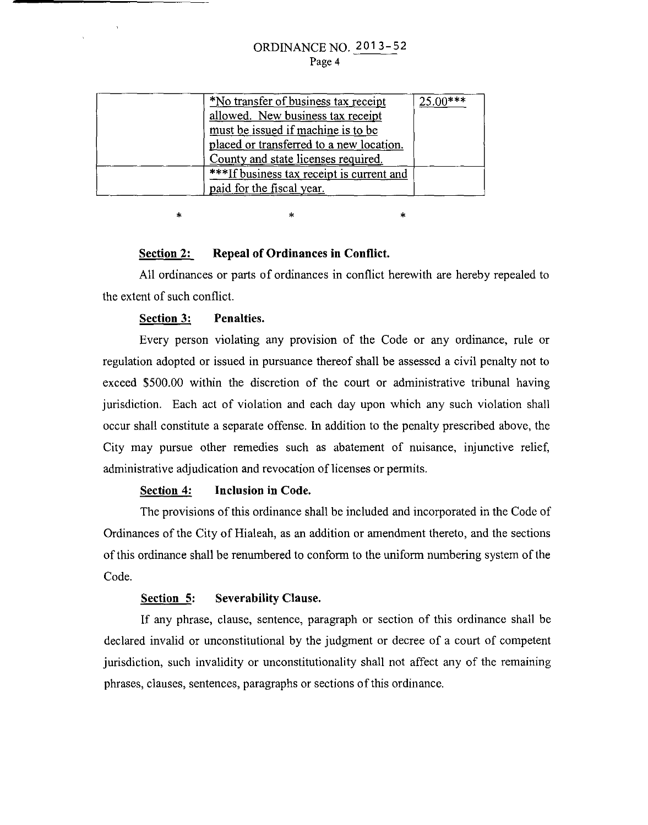# ORDINANCE NO. 201 3-52 Page 4

| <i>*No transfer of business tax receipt</i> | $25.00***$ |
|---------------------------------------------|------------|
| allowed. New business tax receipt           |            |
| must be issued if machine is to be          |            |
| placed or transferred to a new location.    |            |
| County and state licenses required.         |            |
| ***If business tax receipt is current and   |            |
| paid for the fiscal year.                   |            |

#### **Section 2: Repeal of Ordinances in Conflict.**

All ordinances or parts of ordinances in conflict herewith are hereby repealed to the extent of such conflict.

\* \*

# **Section 3: Penalties.**

\*

 $\bar{\Delta}$ 

Every person violating any provision of the Code or any ordinance, rule or regulation adopted or issued in pursuance thereof shall be assessed a civil penalty not to exceed \$500.00 within the discretion of the court or administrative tribunal having jurisdiction. Each act of violation and each day upon which any such violation shall occur shall constitute a separate offense. In addition to the penalty prescribed above, the City may pursue other remedies such as abatement of nuisance, injunctive relief, administrative adjudication and revocation of licenses or permits.

#### **Section 4: Inclusion in Code.**

The provisions of this ordinance shall be included and incorporated in the Code of Ordinances of the City of Hialeah, as an addition or amendment thereto, and the sections of this ordinance shall be renumbered to conform to the uniform numbering system of the Code.

## **Section 5: Severability Clause.**

If any phrase, clause, sentence, paragraph or section of this ordinance shall be declared invalid or unconstitutional by the judgment or decree of a court of competent jurisdiction, such invalidity or unconstitutionality shall not affect any of the remaining phrases, clauses, sentences, paragraphs or sections of this ordinance.